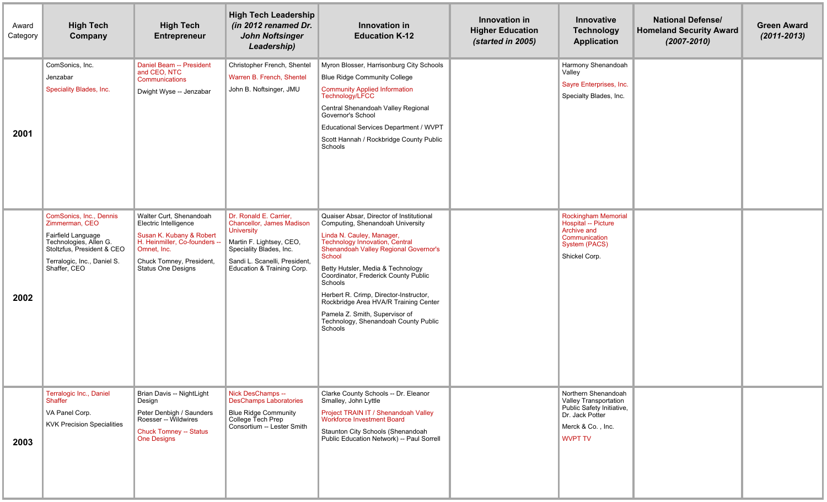| Award<br>Category | <b>High Tech</b><br>Company                                                                                                                                                   | <b>High Tech</b><br><b>Entrepreneur</b>                                                                                                                                            | <b>High Tech Leadership</b><br>(in 2012 renamed Dr.<br><b>John Noftsinger</b><br>Leadership)                                                                                                   | Innovation in<br><b>Education K-12</b>                                                                                                                                                                                                                                                                                                                                                                                                                                | Innovation in<br><b>Higher Education</b><br>(started in 2005) | Innovative<br><b>Technology</b><br><b>Application</b>                                                                               | <b>National Defense/</b><br><b>Homeland Security Award</b><br>$(2007 - 2010)$ | <b>Green Award</b><br>$(2011 - 2013)$ |
|-------------------|-------------------------------------------------------------------------------------------------------------------------------------------------------------------------------|------------------------------------------------------------------------------------------------------------------------------------------------------------------------------------|------------------------------------------------------------------------------------------------------------------------------------------------------------------------------------------------|-----------------------------------------------------------------------------------------------------------------------------------------------------------------------------------------------------------------------------------------------------------------------------------------------------------------------------------------------------------------------------------------------------------------------------------------------------------------------|---------------------------------------------------------------|-------------------------------------------------------------------------------------------------------------------------------------|-------------------------------------------------------------------------------|---------------------------------------|
| 2001              | ComSonics, Inc.<br>Jenzabar<br>Speciality Blades, Inc.                                                                                                                        | Daniel Beam -- President<br>and CEO, NTC<br>Communications<br>Dwight Wyse -- Jenzabar                                                                                              | Christopher French, Shentel<br>Warren B. French, Shentel<br>John B. Noftsinger, JMU                                                                                                            | Myron Blosser, Harrisonburg City Schools<br><b>Blue Ridge Community College</b><br><b>Community Applied Information</b><br>Technology/LFCC<br>Central Shenandoah Valley Regional<br>Governor's School<br>Educational Services Department / WVPT<br>Scott Hannah / Rockbridge County Public<br>Schools                                                                                                                                                                 |                                                               | Harmony Shenandoah<br>Valley<br>Sayre Enterprises, Inc.<br>Specialty Blades, Inc.                                                   |                                                                               |                                       |
| 2002              | <b>ComSonics, Inc., Dennis</b><br>Zimmerman, CEO<br>Fairfield Language<br>Technologies, Allen G.<br>Stoltzfus, President & CEO<br>Terralogic, Inc., Daniel S.<br>Shaffer, CEO | Walter Curt, Shenandoah<br>Electric Intelligence<br>Susan K. Kubany & Robert<br>H. Heinmiller, Co-founders<br>Omnet, Inc.<br>Chuck Tomney, President,<br><b>Status One Designs</b> | Dr. Ronald E. Carrier,<br>Chancellor, James Madison<br><b>University</b><br>Martin F. Lightsey, CEO,<br>Speciality Blades, Inc.<br>Sandi L. Scanelli, President,<br>Education & Training Corp. | Quaiser Absar. Director of Institutional<br>Computing, Shenandoah University<br>Linda N. Cauley, Manager,<br><b>Technology Innovation, Central</b><br>Shenandoah Valley Regional Governor's<br>School<br>Betty Hutsler, Media & Technology<br>Coordinator, Frederick County Public<br>Schools<br>Herbert R. Crimp, Director-Instructor,<br>Rockbridge Area HVA/R Training Center<br>Pamela Z. Smith, Supervisor of<br>Technology, Shenandoah County Public<br>Schools |                                                               | <b>Rockingham Memorial</b><br>Hospital -- Picture<br>Archive and<br>Communication<br>System (PACS)<br>Shickel Corp.                 |                                                                               |                                       |
| 2003              | Terralogic Inc., Daniel<br>Shaffer<br>VA Panel Corp.<br><b>KVK Precision Specialities</b>                                                                                     | Brian Davis -- NightLight<br>Design<br>Peter Denbigh / Saunders<br>Roesser -- Wildwires<br><b>Chuck Tomney -- Status</b><br><b>One Designs</b>                                     | Nick DesChamps --<br><b>DesChamps Laboratories</b><br><b>Blue Ridge Community</b><br>College Tech Prep<br>Consortium -- Lester Smith                                                           | Clarke County Schools -- Dr. Eleanor<br>Smalley, John Lyttle<br>Project TRAIN IT / Shenandoah Valley<br><b>Workforce Investment Board</b><br>Staunton City Schools (Shenandoah<br>Public Education Network) -- Paul Sorrell                                                                                                                                                                                                                                           |                                                               | Northern Shenandoah<br>Valley Transportation<br>Public Safety Initiative,<br>Dr. Jack Potter<br>Merck & Co., Inc.<br><b>WVPT TV</b> |                                                                               |                                       |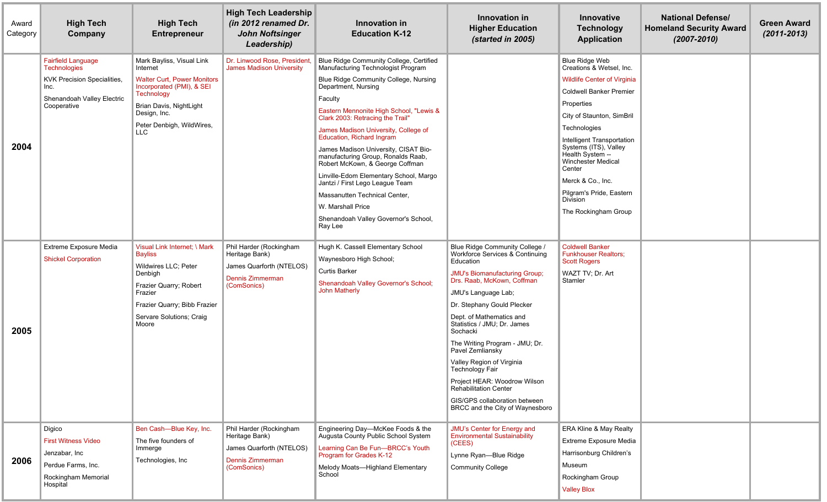| Award<br>Category | <b>High Tech</b><br>Company                                                                                                                 | <b>High Tech</b><br><b>Entrepreneur</b>                                                                                                                                                                      | <b>High Tech Leadership</b><br>(in 2012 renamed Dr.<br><b>John Noftsinger</b><br>Leadership)             | Innovation in<br><b>Education K-12</b>                                                                                                                                                                                                                                                                                                                                                                                                                                                                                                                                                                              | Innovation in<br><b>Higher Education</b><br>(started in 2005)                                                                                                                                                                                                                                                                                                                                                                                                                                                              | Innovative<br><b>Technology</b><br><b>Application</b>                                                                                                                                                                                                                                                                                                                                       | <b>National Defense/</b><br><b>Homeland Security Award</b><br>$(2007 - 2010)$ | <b>Green Award</b><br>$(2011 - 2013)$ |
|-------------------|---------------------------------------------------------------------------------------------------------------------------------------------|--------------------------------------------------------------------------------------------------------------------------------------------------------------------------------------------------------------|----------------------------------------------------------------------------------------------------------|---------------------------------------------------------------------------------------------------------------------------------------------------------------------------------------------------------------------------------------------------------------------------------------------------------------------------------------------------------------------------------------------------------------------------------------------------------------------------------------------------------------------------------------------------------------------------------------------------------------------|----------------------------------------------------------------------------------------------------------------------------------------------------------------------------------------------------------------------------------------------------------------------------------------------------------------------------------------------------------------------------------------------------------------------------------------------------------------------------------------------------------------------------|---------------------------------------------------------------------------------------------------------------------------------------------------------------------------------------------------------------------------------------------------------------------------------------------------------------------------------------------------------------------------------------------|-------------------------------------------------------------------------------|---------------------------------------|
| 2004              | <b>Fairfield Language</b><br><b>Technologies</b><br><b>KVK Precision Specialities,</b><br>Inc.<br>Shenandoah Valley Electric<br>Cooperative | Mark Bayliss, Visual Link<br>Internet<br><b>Walter Curt, Power Monitors</b><br>Incorporated (PMI), & SEI<br><b>Technology</b><br>Brian Davis, NightLight<br>Design, Inc.<br>Peter Denbigh, WildWires,<br>LLC | Dr. Linwood Rose, President<br><b>James Madison University</b>                                           | Blue Ridge Community College, Certified<br>Manufacturing Technologist Program<br>Blue Ridge Community College, Nursing<br>Department, Nursing<br>Faculty<br>Eastern Mennonite High School, "Lewis &<br>Clark 2003: Retracing the Trail"<br>James Madison University, College of<br>Education, Richard Ingram<br>James Madison University, CISAT Bio-<br>manufacturing Group, Ronalds Raab,<br>Robert McKown, & George Coffman<br>Linville-Edom Elementary School, Margo<br>Jantzi / First Lego League Team<br>Massanutten Technical Center.<br>W. Marshall Price<br>Shenandoah Valley Governor's School,<br>Ray Lee |                                                                                                                                                                                                                                                                                                                                                                                                                                                                                                                            | <b>Blue Ridge Web</b><br>Creations & Wetsel, Inc.<br><b>Wildlife Center of Virginia</b><br><b>Coldwell Banker Premier</b><br>Properties<br>City of Staunton, SimBril<br>Technologies<br>Intelligent Transportation<br>Systems (ITS), Valley<br>Health System --<br><b>Winchester Medical</b><br>Center<br>Merck & Co., Inc.<br>Pilgram's Pride, Eastern<br>Division<br>The Rockingham Group |                                                                               |                                       |
| 2005              | Extreme Exposure Media<br><b>Shickel Corporation</b>                                                                                        | Visual Link Internet; \ Mark<br><b>Bayliss</b><br>Wildwires LLC; Peter<br>Denbigh<br>Frazier Quarry; Robert<br>Frazier<br>Frazier Quarry; Bibb Frazier<br>Servare Solutions; Craig<br>Moore                  | Phil Harder (Rockingham<br>Heritage Bank)<br>James Quarforth (NTELOS)<br>Dennis Zimmerman<br>(ComSonics) | Hugh K. Cassell Elementary School<br>Waynesboro High School;<br><b>Curtis Barker</b><br>Shenandoah Valley Governor's School;<br><b>John Matherly</b>                                                                                                                                                                                                                                                                                                                                                                                                                                                                | Blue Ridge Community College /<br>Workforce Services & Continuing<br>Education<br><b>JMU's Biomanufacturing Group;</b><br>Drs. Raab, McKown, Coffman<br>JMU's Language Lab;<br>Dr. Stephany Gould Plecker<br>Dept. of Mathematics and<br>Statistics / JMU; Dr. James<br>Sochacki<br>The Writing Program - JMU; Dr.<br>Pavel Zemliansky<br>Valley Region of Virginia<br><b>Technology Fair</b><br>Project HEAR: Woodrow Wilson<br>Rehabilitation Center<br>GIS/GPS collaboration between<br>BRCC and the City of Waynesboro | <b>Coldwell Banker</b><br><b>Funkhouser Realtors:</b><br><b>Scott Rogers</b><br>WAZT TV; Dr. Art<br><b>Stamler</b>                                                                                                                                                                                                                                                                          |                                                                               |                                       |
| 2006              | Digico<br><b>First Witness Video</b><br>Jenzabar, Inc<br>Perdue Farms, Inc.<br>Rockingham Memorial<br>Hospital                              | Ben Cash-Blue Key, Inc.<br>The five founders of<br>Immerge<br>Technologies, Inc                                                                                                                              | Phil Harder (Rockingham<br>Heritage Bank)<br>James Quarforth (NTELOS)<br>Dennis Zimmerman<br>(ComSonics) | Engineering Day-McKee Foods & the<br>Augusta County Public School System<br>Learning Can Be Fun-BRCC's Youth<br>Program for Grades K-12<br>Melody Moats-Highland Elementary<br>School                                                                                                                                                                                                                                                                                                                                                                                                                               | JMU's Center for Energy and<br><b>Environmental Sustainability</b><br>(CEES)<br>Lynne Ryan-Blue Ridge<br><b>Community College</b>                                                                                                                                                                                                                                                                                                                                                                                          | ERA Kline & May Realty<br>Extreme Exposure Media<br>Harrisonburg Children's<br><b>Museum</b><br>Rockingham Group<br><b>Valley Blox</b>                                                                                                                                                                                                                                                      |                                                                               |                                       |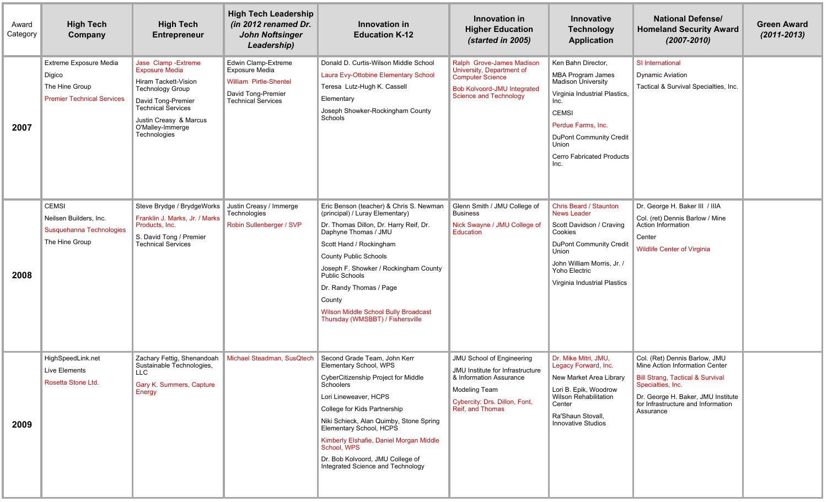| Award<br>Category | <b>High Tech</b><br>Company                                                             | <b>High Tech</b><br><b>Entrepreneur</b>                                                                                                                                                                           | <b>High Tech Leadership</b><br>(in 2012 renamed Dr.<br><b>John Noftsinger</b><br>Leadership)                                     | Innovation in<br><b>Education K-12</b>                                                                                                                                                                                                                                                                                                                                                            | Innovation in<br><b>Higher Education</b><br>(started in 2005)                                                                                                                | Innovative<br><b>Technology</b><br><b>Application</b>                                                                                                                                                                                             | <b>National Defense/</b><br><b>Homeland Security Award</b><br>$(2007 - 2010)$                                                                                                                                                | <b>Green Award</b><br>$(2011 - 2013)$ |
|-------------------|-----------------------------------------------------------------------------------------|-------------------------------------------------------------------------------------------------------------------------------------------------------------------------------------------------------------------|----------------------------------------------------------------------------------------------------------------------------------|---------------------------------------------------------------------------------------------------------------------------------------------------------------------------------------------------------------------------------------------------------------------------------------------------------------------------------------------------------------------------------------------------|------------------------------------------------------------------------------------------------------------------------------------------------------------------------------|---------------------------------------------------------------------------------------------------------------------------------------------------------------------------------------------------------------------------------------------------|------------------------------------------------------------------------------------------------------------------------------------------------------------------------------------------------------------------------------|---------------------------------------|
| 2007              | Extreme Exposure Media<br>Digico<br>The Hine Group<br><b>Premier Technical Services</b> | Jase Clamp - Extreme<br><b>Exposure Media</b><br>Hiram Tackett-Vision<br><b>Technology Group</b><br>David Tong-Premier<br><b>Technical Services</b><br>Justin Creasy & Marcus<br>O'Malley-Immerge<br>Technologies | Edwin Clamp-Extreme<br><b>Exposure Media</b><br><b>William Pirtle-Shentel</b><br>David Tong-Premier<br><b>Technical Services</b> | Donald D. Curtis-Wilson Middle School<br>Laura Evy-Ottobine Elementary School<br>Teresa Lutz-Hugh K. Cassell<br>Elementary<br>Joseph Showker-Rockingham County<br>Schools                                                                                                                                                                                                                         | Ralph Grove-James Madison<br>University, Department of<br><b>Computer Science</b><br><b>Bob Kolvoord-JMU Integrated</b><br><b>Science and Technology</b>                     | Ken Bahn Director,<br><b>MBA Program James</b><br><b>Madison University</b><br>Virginia Industrial Plastics,<br>Inc.<br><b>CEMSI</b><br>Perdue Farms, Inc.<br><b>DuPont Community Credit</b><br>Union<br><b>Cerro Fabricated Products</b><br>Inc. | SI International<br><b>Dynamic Aviation</b><br>Tactical & Survival Specialties, Inc.                                                                                                                                         |                                       |
| 2008              | <b>CEMSI</b><br>Neilsen Builders, Inc.<br>Susquehanna Technologies<br>The Hine Group    | Steve Brydge / BrydgeWorks<br>Franklin J. Marks, Jr. / Marks<br>Products, Inc.<br>S. David Tong / Premier<br><b>Technical Services</b>                                                                            | Justin Creasy / Immerge<br>Technologies<br>Robin Sullenberger / SVP                                                              | Eric Benson (teacher) & Chris S. Newman<br>(principal) / Luray Elementary)<br>Dr. Thomas Dillon, Dr. Harry Reif, Dr.<br>Daphyne Thomas / JMU<br>Scott Hand / Rockingham<br><b>County Public Schools</b><br>Joseph F. Showker / Rockingham County<br><b>Public Schools</b><br>Dr. Randy Thomas / Page<br>County<br><b>Wilson Middle School Bully Broadcast</b><br>Thursday (WMSBBT) / Fishersville | Glenn Smith / JMU College of<br><b>Business</b><br>Nick Swayne / JMU College of<br>Education                                                                                 | Chris Beard / Staunton<br><b>News Leader</b><br>Scott Davidson / Craving<br>Cookies<br><b>DuPont Community Credit</b><br>Union<br>John William Morris, Jr. /<br>Yoho Electric<br>Virginia Industrial Plastics                                     | Dr. George H. Baker III / IIIA<br>Col. (ret) Dennis Barlow / Mine<br>Action Information<br>Center<br><b>Wildlife Center of Virginia</b>                                                                                      |                                       |
| 2009              | HighSpeedLink.net<br>Live Elements<br>Rosetta Stone Ltd.                                | Zachary Fettig, Shenandoah<br>Sustainable Technologies,<br>∣ LLC<br>Gary K. Summers, Capture<br>Energy                                                                                                            | Michael Steadman, SusQtech                                                                                                       | Second Grade Team, John Kerr<br>Elementary School, WPS<br>CyberCitizenship Project for Middle<br>Schoolers<br>Lori Lineweaver, HCPS<br>College for Kids Partnership<br>Niki Schieck, Alan Quimby, Stone Spring<br>Elementary School, HCPS<br>Kimberly Elshafie, Daniel Morgan Middle<br>School, WPS<br>Dr. Bob Kolvoord, JMU College of<br>Integrated Science and Technology                      | <b>JMU School of Engineering</b><br>JMU Institute for Infrastructure<br>& Information Assurance<br><b>Modeling Team</b><br>Cybercity: Drs. Dillon, Font,<br>Reif, and Thomas | Dr. Mike Mitri, JMU.<br>Legacy Forward, Inc.<br>New Market Area Library<br>Lori B. Epik, Woodrow<br>Wilson Rehabilitation<br>Center<br>Ra'Shaun Stovall,<br>Innovative Studios                                                                    | Col. (Ret) Dennis Barlow, JMU<br>Mine Action Information Center<br><b>Bill Strang, Tactical &amp; Survival</b><br>Specialties, Inc.<br>Dr. George H. Baker, JMU Institute<br>for Infrastructure and Information<br>Assurance |                                       |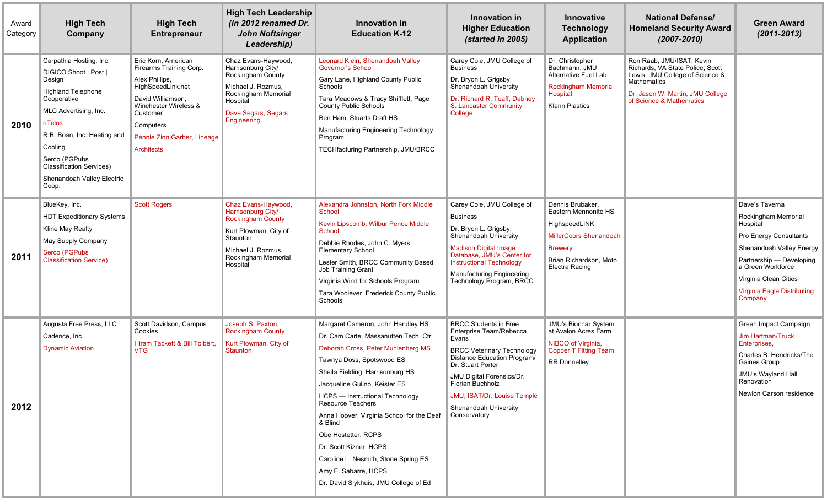| Award<br>Category | <b>High Tech</b><br>Company                                                                                                                                                                                                                                                    | <b>High Tech</b><br><b>Entrepreneur</b>                                                                                                                                                                   | <b>High Tech Leadership</b><br>(in 2012 renamed Dr.<br><b>John Noftsinger</b><br>Leadership)                                                                        | Innovation in<br><b>Education K-12</b>                                                                                                                                                                                                                                                                                                                                                                                                                                                      | Innovation in<br><b>Higher Education</b><br>(started in 2005)                                                                                                                                                                                                                             | Innovative<br><b>Technology</b><br><b>Application</b>                                                                                                    | <b>National Defense/</b><br><b>Homeland Security Award</b><br>$(2007 - 2010)$                                                                                                   | <b>Green Award</b><br>$(2011 - 2013)$                                                                                                                                                                                       |
|-------------------|--------------------------------------------------------------------------------------------------------------------------------------------------------------------------------------------------------------------------------------------------------------------------------|-----------------------------------------------------------------------------------------------------------------------------------------------------------------------------------------------------------|---------------------------------------------------------------------------------------------------------------------------------------------------------------------|---------------------------------------------------------------------------------------------------------------------------------------------------------------------------------------------------------------------------------------------------------------------------------------------------------------------------------------------------------------------------------------------------------------------------------------------------------------------------------------------|-------------------------------------------------------------------------------------------------------------------------------------------------------------------------------------------------------------------------------------------------------------------------------------------|----------------------------------------------------------------------------------------------------------------------------------------------------------|---------------------------------------------------------------------------------------------------------------------------------------------------------------------------------|-----------------------------------------------------------------------------------------------------------------------------------------------------------------------------------------------------------------------------|
| 2010              | Carpathia Hosting, Inc.<br>DIGICO Shoot   Post  <br>Design<br><b>Highland Telephone</b><br>Cooperative<br>MLC Advertising, Inc.<br>nTelos<br>R.B. Boan, Inc. Heating and<br>Cooling<br>Serco (PGPubs<br><b>Classification Services)</b><br>Shenandoah Valley Electric<br>Coop. | Eric Korn, American<br>Firearms Training Corp.<br>Alex Phillips,<br>HighSpeedLink.net<br>David Williamson,<br>Winchester Wireless &<br>Customer<br>Computers<br>Pennie Zinn Garber, Lineage<br>Architects | Chaz Evans-Haywood,<br>Harrisonburg City/<br>Rockingham County<br>Michael J. Rozmus,<br>Rockingham Memorial<br>Hospital<br>Dave Segars, Segars<br>Engineering       | Leonard Klein, Shenandoah Valley<br><b>Governor's School</b><br>Gary Lane, Highland County Public<br>Schools<br>Tara Meadows & Tracy Shifflett, Page<br><b>County Public Schools</b><br>Ben Ham, Stuarts Draft HS<br>Manufacturing Engineering Technology<br>Program<br><b>TECHfacturing Partnership, JMU/BRCC</b>                                                                                                                                                                          | Carey Cole, JMU College of<br><b>Business</b><br>Dr. Bryon L. Grigsby,<br>Shenandoah University<br>Dr. Richard R. Teaff, Dabney<br>S. Lancaster Community<br>College                                                                                                                      | Dr. Christopher<br>Bachmann, JMU<br>Alternative Fuel Lab<br><b>Rockingham Memorial</b><br>Hospital<br><b>Klann Plastics</b>                              | Ron Raab, JMU/ISAT; Kevin<br>Richards, VA State Police; Scott<br>Lewis, JMU College of Science &<br>Mathematics<br>Dr. Jason W. Martin, JMU College<br>of Science & Mathematics |                                                                                                                                                                                                                             |
| 2011              | BlueKey, Inc.<br><b>HDT Expeditionary Systems</b><br>Kline May Realty<br>May Supply Company<br>Serco (PGPubs<br><b>Classification Service)</b>                                                                                                                                 | <b>Scott Rogers</b>                                                                                                                                                                                       | Chaz Evans-Haywood,<br>Harrisonburg City/<br><b>Rockingham County</b><br>Kurt Plowman, City of<br>Staunton<br>Michael J. Rozmus,<br>Rockingham Memorial<br>Hospital | Alexandra Johnston, North Fork Middle<br>School<br>Kevin Lipscomb, Wilbur Pence Middle<br><b>School</b><br>Debbie Rhodes, John C. Myers<br><b>Elementary School</b><br>Lester Smith, BRCC Community Based<br><b>Job Training Grant</b><br>Virginia Wind for Schools Program<br>Tara Woolever, Frederick County Public<br>Schools                                                                                                                                                            | Carey Cole, JMU College of<br><b>Business</b><br>Dr. Bryon L. Grigsby,<br>Shenandoah University<br><b>Madison Digital Image</b><br>Database, JMU's Center for<br><b>Instructional Technology</b><br>Manufacturing Engineering<br>Technology Program, BRCC                                 | Dennis Brubaker,<br>Eastern Mennonite HS<br>HighspeedLINK<br><b>MillerCoors Shenandoah</b><br><b>Brewery</b><br>Brian Richardson, Moto<br>Electra Racing |                                                                                                                                                                                 | Dave's Taverna<br>Rockingham Memorial<br>Hospital<br>Pro Energy Consultants<br>Shenandoah Valley Energy<br>Partnership - Developing<br>a Green Workforce<br>Virginia Clean Cities<br>Virginia Eagle Distributing<br>Company |
| 2012              | Augusta Free Press, LLC<br>Cadence, Inc.<br><b>Dynamic Aviation</b>                                                                                                                                                                                                            | Scott Davidson, Campus<br>Cookies<br>Hiram Tackett & Bill Tolbert.<br><b>VTG</b>                                                                                                                          | Joseph S. Paxton,<br><b>Rockingham County</b><br>Kurt Plowman, City of<br>Staunton                                                                                  | Margaret Cameron, John Handley HS<br>Dr. Cam Carte, Massanutten Tech. Ctr<br>Deborah Cross, Peter Muhlenberg MS<br>Tawnya Doss, Spotswood ES<br>Sheila Fielding, Harrisonburg HS<br>Jacqueline Gulino, Keister ES<br>HCPS - Instructional Technology<br>Resource Teachers<br>Anna Hoover, Virginia School for the Deaf<br>& Blind<br>Obe Hostetter, RCPS<br>Dr. Scott Kizner, HCPS<br>Caroline L. Nesmith, Stone Spring ES<br>Amy E. Sabarre, HCPS<br>Dr. David Slykhuis, JMU College of Ed | <b>BRCC Students in Free</b><br>Enterprise Team/Rebecca<br>Evans<br><b>BRCC Veterinary Technology</b><br>Distance Education Program/<br>Dr. Stuart Porter<br>JMU Digital Forensics/Dr.<br><b>Florian Buchholz</b><br>JMU, ISAT/Dr. Louise Temple<br>Shenandoah University<br>Conservatory | JMU's Biochar System<br>at Avalon Acres Farm<br>NIBCO of Virginia,<br>Copper T Fitting Team<br><b>RR</b> Donnelley                                       |                                                                                                                                                                                 | Green Impact Campaign<br><b>Jim Hartman/Truck</b><br>Enterprises,<br>Charles B. Hendricks/The<br>Gaines Group<br>JMU's Wayland Hall<br>Renovation<br>Newlon Carson residence                                                |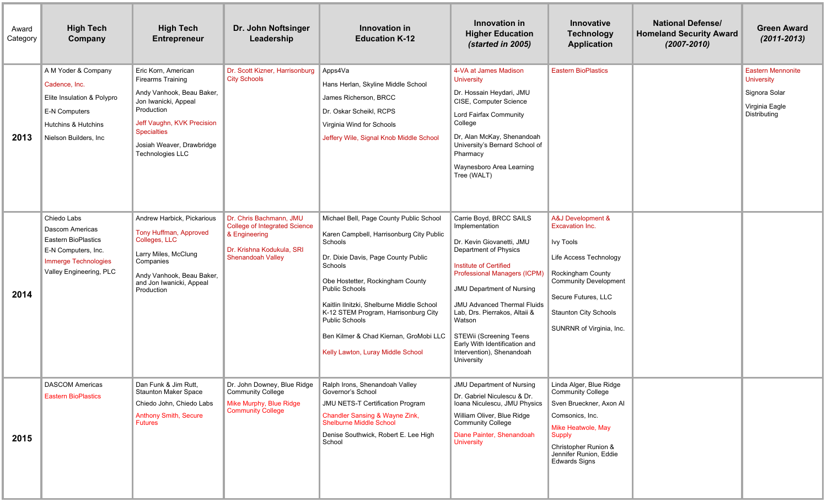| Award<br>Category | <b>High Tech</b><br>Company                                                                                                            | <b>High Tech</b><br><b>Entrepreneur</b>                                                                                                                                                                                 | Dr. John Noftsinger<br>Leadership                                                                                                         | Innovation in<br><b>Education K-12</b>                                                                                                                                                                                                                                                                                                                                                              | Innovation in<br><b>Higher Education</b><br>(started in 2005)                                                                                                                                                                                                                                                                                                                         | <b>Innovative</b><br><b>Technology</b><br><b>Application</b>                                                                                                                                                                      | <b>National Defense/</b><br><b>Homeland Security Award</b><br>$(2007 - 2010)$ | <b>Green Award</b><br>$(2011 - 2013)$                                                            |
|-------------------|----------------------------------------------------------------------------------------------------------------------------------------|-------------------------------------------------------------------------------------------------------------------------------------------------------------------------------------------------------------------------|-------------------------------------------------------------------------------------------------------------------------------------------|-----------------------------------------------------------------------------------------------------------------------------------------------------------------------------------------------------------------------------------------------------------------------------------------------------------------------------------------------------------------------------------------------------|---------------------------------------------------------------------------------------------------------------------------------------------------------------------------------------------------------------------------------------------------------------------------------------------------------------------------------------------------------------------------------------|-----------------------------------------------------------------------------------------------------------------------------------------------------------------------------------------------------------------------------------|-------------------------------------------------------------------------------|--------------------------------------------------------------------------------------------------|
| 2013              | A M Yoder & Company<br>Cadence, Inc.<br>Elite Insulation & Polypro<br>E-N Computers<br>Hutchins & Hutchins<br>Nielson Builders, Inc.   | Eric Korn, American<br><b>Firearms Training</b><br>Andy Vanhook, Beau Baker,<br>Jon Iwanicki, Appeal<br>Production<br>Jeff Vaughn, KVK Precision<br><b>Specialties</b><br>Josiah Weaver, Drawbridge<br>Technologies LLC | Dr. Scott Kizner, Harrisonburg<br><b>City Schools</b>                                                                                     | $\blacksquare$ Apps4Va<br>Hans Herlan, Skyline Middle School<br>James Richerson, BRCC<br>Dr. Oskar Scheikl, RCPS<br>Virginia Wind for Schools<br>Jeffery Wile, Signal Knob Middle School                                                                                                                                                                                                            | 4-VA at James Madison<br>University<br>Dr. Hossain Heydari, JMU<br>CISE, Computer Science<br>Lord Fairfax Community<br>College<br>Dr, Alan McKay, Shenandoah<br>University's Bernard School of<br>Pharmacy<br>Waynesboro Area Learning<br>Tree (WALT)                                                                                                                                 | <b>Eastern BioPlastics</b>                                                                                                                                                                                                        |                                                                               | <b>Eastern Mennonite</b><br><b>University</b><br>Signora Solar<br>Virginia Eagle<br>Distributing |
| 2014              | Chiedo Labs<br>Dascom Americas<br><b>Eastern BioPlastics</b><br>E-N Computers, Inc.<br>Immerge Technologies<br>Valley Engineering, PLC | Andrew Harbick, Pickarious<br>Tony Huffman, Approved<br>Colleges, LLC<br>Larry Miles, McClung<br>Companies<br>Andy Vanhook, Beau Baker,<br>and Jon Iwanicki, Appeal<br>Production                                       | Dr. Chris Bachmann, JMU<br><b>College of Integrated Science</b><br>& Engineering<br>Dr. Krishna Kodukula, SRI<br><b>Shenandoah Valley</b> | Michael Bell, Page County Public School<br>Karen Campbell, Harrisonburg City Public<br>Schools<br>Dr. Dixie Davis, Page County Public<br><b>Schools</b><br>Obe Hostetter, Rockingham County<br>Public Schools<br>Kaitlin Ilnitzki, Shelburne Middle School<br>K-12 STEM Program, Harrisonburg City<br>Public Schools<br>Ben Kilmer & Chad Kiernan, GroMobi LLC<br>Kelly Lawton, Luray Middle School | Carrie Boyd, BRCC SAILS<br>Implementation<br>Dr. Kevin Giovanetti, JMU<br>Department of Physics<br>Institute of Certified<br>Professional Managers (ICPM)<br><b>JMU Department of Nursing</b><br><b>JMU Advanced Thermal Fluids</b><br>Lab, Drs. Pierrakos, Altaii &<br>Watson<br>STEWii (Screening Teens<br>Early With Identification and<br>Intervention), Shenandoah<br>University | A&J Development &<br><b>Excavation Inc.</b><br><b>Ivy Tools</b><br>Life Access Technology<br>Rockingham County<br><b>Community Development</b><br>Secure Futures, LLC<br><b>Staunton City Schools</b><br>SUNRNR of Virginia, Inc. |                                                                               |                                                                                                  |
| 2015              | <b>DASCOM Americas</b><br><b>Eastern BioPlastics</b>                                                                                   | Dan Funk & Jim Rutt,<br><b>Staunton Maker Space</b><br>Chiedo John, Chiedo Labs<br><b>Anthony Smith, Secure</b><br><b>Futures</b>                                                                                       | Dr. John Downey, Blue Ridge<br><b>Community College</b><br>Mike Murphy, Blue Ridge<br><b>Community College</b>                            | Ralph Irons, Shenandoah Valley<br>Governor's School<br><b>JMU NETS-T Certification Program</b><br><b>Chandler Sansing &amp; Wayne Zink,</b><br>Shelburne Middle School<br>Denise Southwick, Robert E. Lee High<br>School                                                                                                                                                                            | <b>JMU Department of Nursing</b><br>Dr. Gabriel Niculescu & Dr.<br>Ioana Niculescu, JMU Physics<br>William Oliver, Blue Ridge<br><b>Community College</b><br>Diane Painter, Shenandoah<br><b>University</b>                                                                                                                                                                           | Linda Alger, Blue Ridge<br><b>Community College</b><br>Sven Brueckner, Axon Al<br>Comsonics, Inc.<br>Mike Heatwole, May<br><b>Supply</b><br>Christopher Runion &<br>Jennifer Runion, Eddie<br><b>Edwards Signs</b>                |                                                                               |                                                                                                  |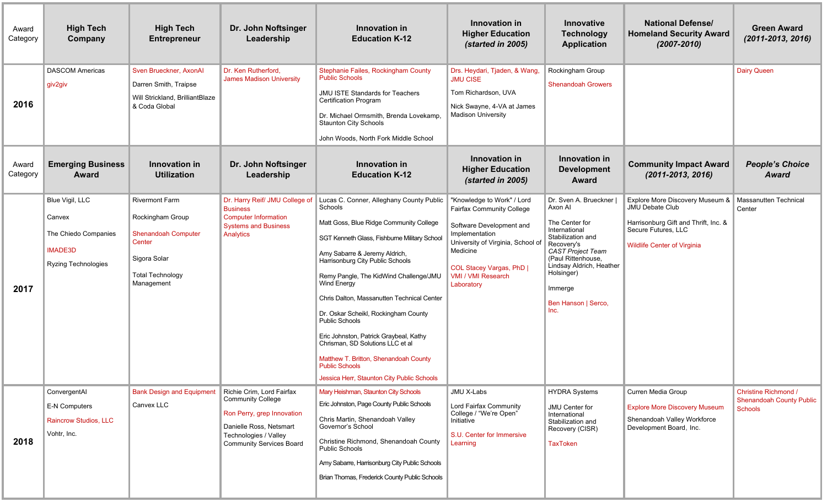| Award<br>Category | <b>High Tech</b><br>Company                                                                | <b>High Tech</b><br><b>Entrepreneur</b>                                                                                                    | Dr. John Noftsinger<br>Leadership                                                                                                                                          | Innovation in<br><b>Education K-12</b>                                                                                                                                                                                                                                                                                                                                                                                                                                                                                                                                                    | Innovation in<br><b>Higher Education</b><br>(started in 2005)                                                                                                                                                                        | <b>Innovative</b><br><b>Technology</b><br><b>Application</b>                                                                                                                                                                                   | <b>National Defense/</b><br><b>Homeland Security Award</b><br>$(2007 - 2010)$                                                                                  | <b>Green Award</b><br>$(2011 - 2013, 2016)$                               |
|-------------------|--------------------------------------------------------------------------------------------|--------------------------------------------------------------------------------------------------------------------------------------------|----------------------------------------------------------------------------------------------------------------------------------------------------------------------------|-------------------------------------------------------------------------------------------------------------------------------------------------------------------------------------------------------------------------------------------------------------------------------------------------------------------------------------------------------------------------------------------------------------------------------------------------------------------------------------------------------------------------------------------------------------------------------------------|--------------------------------------------------------------------------------------------------------------------------------------------------------------------------------------------------------------------------------------|------------------------------------------------------------------------------------------------------------------------------------------------------------------------------------------------------------------------------------------------|----------------------------------------------------------------------------------------------------------------------------------------------------------------|---------------------------------------------------------------------------|
| 2016              | <b>DASCOM Americas</b><br>giv2giv                                                          | Sven Brueckner, AxonAl<br>Darren Smith, Traipse<br>Will Strickland, BrilliantBlaze<br>& Coda Global                                        | Dr. Ken Rutherford,<br><b>James Madison University</b>                                                                                                                     | Stephanie Failes, Rockingham County<br><b>Public Schools</b><br><b>JMU ISTE Standards for Teachers</b><br><b>Certification Program</b><br>Dr. Michael Ormsmith, Brenda Lovekamp,<br><b>Staunton City Schools</b><br>John Woods, North Fork Middle School                                                                                                                                                                                                                                                                                                                                  | Drs. Heydari, Tjaden, & Wang,<br><b>JMU CISE</b><br>Tom Richardson, UVA<br>Nick Swayne, 4-VA at James<br><b>Madison University</b>                                                                                                   | Rockingham Group<br><b>Shenandoah Growers</b>                                                                                                                                                                                                  |                                                                                                                                                                | <b>Dairy Queen</b>                                                        |
| Award<br>Category | <b>Emerging Business</b><br>Award                                                          | Innovation in<br><b>Utilization</b>                                                                                                        | Dr. John Noftsinger<br>Leadership                                                                                                                                          | Innovation in<br><b>Education K-12</b>                                                                                                                                                                                                                                                                                                                                                                                                                                                                                                                                                    | Innovation in<br><b>Higher Education</b><br>(started in 2005)                                                                                                                                                                        | Innovation in<br><b>Development</b><br><b>Award</b>                                                                                                                                                                                            | <b>Community Impact Award</b><br>$(2011 - 2013, 2016)$                                                                                                         | <b>People's Choice</b><br>Award                                           |
| 2017              | Blue Vigil, LLC<br>Canvex<br>The Chiedo Companies<br><b>IMADE3D</b><br>Ryzing Technologies | <b>Rivermont Farm</b><br>Rockingham Group<br><b>Shenandoah Computer</b><br>Center<br>Sigora Solar<br><b>Total Technology</b><br>Management | Dr. Harry Reif/ JMU College of<br><b>Business</b><br><b>Computer Information</b><br><b>Systems and Business</b><br>Analytics                                               | Lucas C. Conner, Alleghany County Public<br>Schools<br>Matt Goss, Blue Ridge Community College<br>SGT Kenneth Glass, Fishburne Military School<br>Amy Sabarre & Jeremy Aldrich,<br>Harrisonburg City Public Schools<br>Remy Pangle, The KidWind Challenge/JMU<br>Wind Energy<br>Chris Dalton, Massanutten Technical Center<br>Dr. Oskar Scheikl, Rockingham County<br><b>Public Schools</b><br>Eric Johnston, Patrick Graybeal, Kathy<br>Chrisman, SD Solutions LLC et al<br>Matthew T. Britton, Shenandoah County<br><b>Public Schools</b><br>Jessica Herr, Staunton City Public Schools | "Knowledge to Work" / Lord<br><b>Fairfax Community College</b><br>Software Development and<br>Implementation<br>University of Virginia, School of<br>Medicine<br>COL Stacey Vargas, PhD  <br><b>VMI / VMI Research</b><br>Laboratory | Dr. Sven A. Brueckner I<br>Axon Al<br>The Center for<br>International<br>Stabilization and<br>Recovery's<br><b>CAST Project Team</b><br>(Paul Rittenhouse.<br>Lindsay Aldrich, Heather<br>Holsinger)<br>Immerge<br>Ben Hanson   Serco,<br>Inc. | Explore More Discovery Museum &<br><b>JMU Debate Club</b><br>Harrisonburg Gift and Thrift, Inc. &<br>Secure Futures, LLC<br><b>Wildlife Center of Virginia</b> | Massanutten Technical<br>Center                                           |
| 2018              | ConvergentAl<br><b>E-N Computers</b><br>Raincrow Studios, LLC<br>Vohtr, Inc.               | <b>Bank Design and Equipment</b><br>Canvex LLC                                                                                             | Richie Crim. Lord Fairfax<br><b>Community College</b><br>Ron Perry, grep Innovation<br>Danielle Ross, Netsmart<br>Technologies / Valley<br><b>Community Services Board</b> | Mary Heishman, Staunton City Schools<br>Eric Johnston, Page County Public Schools<br>Chris Martin, Shenandoah Valley<br>Governor's School<br>Christine Richmond, Shenandoah County<br>Public Schools<br>Amy Sabarre, Harrisonburg City Public Schools<br>Brian Thomas, Frederick County Public Schools                                                                                                                                                                                                                                                                                    | JMU X-Labs<br>Lord Fairfax Community<br>College / "We're Open"<br>Initiative<br>S.U. Center for Immersive<br>Learning                                                                                                                | <b>HYDRA Systems</b><br>JMU Center for<br>International<br>Stabilization and<br>Recovery (CISR)<br><b>TaxToken</b>                                                                                                                             | Curren Media Group<br><b>Explore More Discovery Museum</b><br>Shenandoah Valley Workforce<br>Development Board, Inc.                                           | Christine Richmond /<br><b>Shenandoah County Public</b><br><b>Schools</b> |